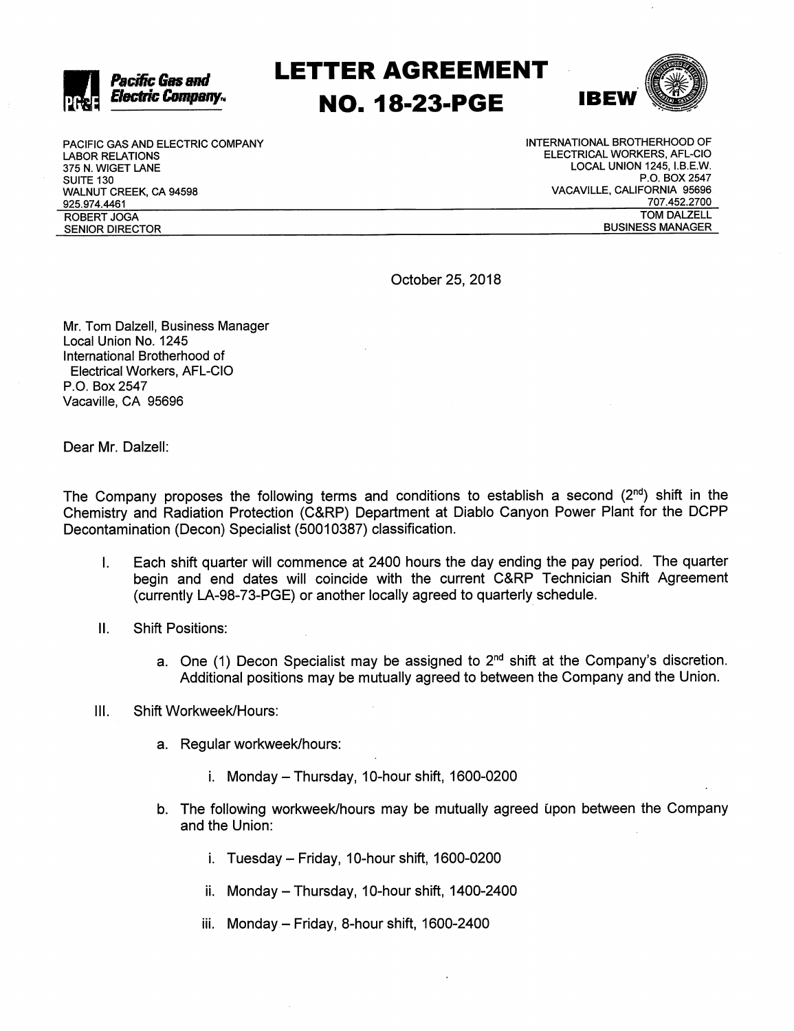

## LETTER AGREEMENT NO. 18-23-PGE IBEW



PACIFIC GAS AND ELECTRIC COMPANY LABOR RELATIONS 375 N. WIGET LANE SUITE 130 WALNUT CREEK, CA 94598 925.974.4461 ROBERT JOGA SENIOR DIRECTOR

INTERNATIONAL BROTHERHOOD OF ELECTRICAL WORKERS, AFL-CIO LOCAL UNION 1245, I.B.E.W. P.O. BOX 2547 VACAVILLE, CALIFORNIA 95696 707.452.2700 TOM DALZELL BUSINESS MANAGER

October 25, 2018

Mr. Tom Dalzell, Business Manager Local Union No. 1245 International Brotherhood of Electrical Workers, AFL-CIO P.O. Box 2547 Vacaville, CA 95696

Dear Mr. Dalzell:

The Company proposes the following terms and conditions to establish a second  $(2^{nd})$  shift in the Chemistry and Radiation Protection (C&RP) Department at Diablo Canyon Power Plant for the DCPP Decontamination (Decon) Specialist (50010387) classification.

- I. Each shift quarter will commence at 2400 hours the day ending the pay period. The quarter begin and end dates will coincide with the current C&RP Technician Shift Agreement (currently LA-98-73-PGE) or another locally agreed to quarterly schedule.
- II. Shift Positions:
	- a. One (1) Decon Specialist may be assigned to  $2<sup>nd</sup>$  shift at the Company's discretion. Additional positions may be mutually agreed to between the Company and the Union.

## III. Shift Workweek/Hours:

- a. Regular workweek/hours:
	- $i.$  Monday Thursday, 10-hour shift, 1600-0200
- b. The following workweek/hours may be mutually agreed upon between the Company and the Union:
	- $i.$  Tuesday Friday, 10-hour shift, 1600-0200
	- $ii.$  Monday Thursday, 10-hour shift, 1400-2400
	- iii. Monday Friday, 8-hour shift, 1600-2400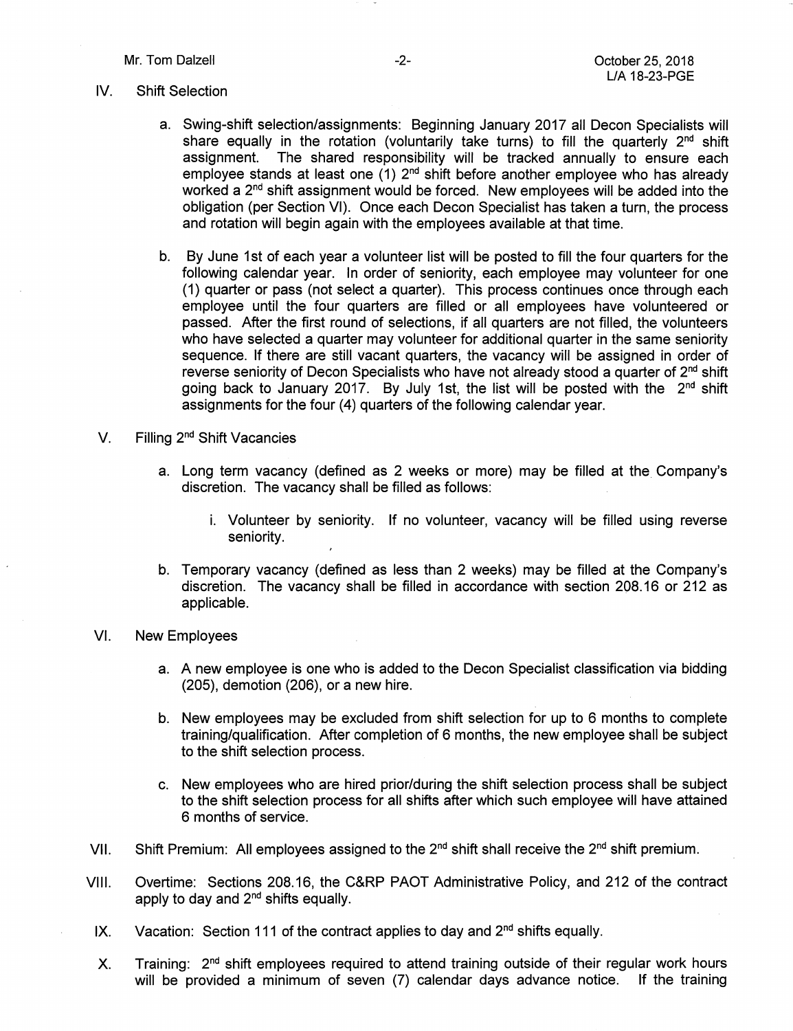## IV. Shift Seiection

- a. Swing-shift selection/assignments: Beginning January 2017 all Decon Specialists will share equally in the rotation (voluntarily take turns) to fill the quarterly  $2<sup>nd</sup>$  shift assignment. The shared responsibility will be tracked annually to ensure each employee stands at least one (1) 2<sup>nd</sup> shift before another employee who has already worked a  $2<sup>nd</sup>$  shift assignment would be forced. New employees will be added into the obligation (per Section VI). Once each Decon Specialist has taken a turn, the process and rotation will begin again with the employees available at that time.
- b. By June 1st of each year a volunteer list will be posted to fill the four quarters for the following calendar year. In order of seniority, each employee may volunteer for one (1) quarter or pass (not select a quarter). This process continues once through each employee until the four quarters are filled or all employees have volunteered or passed. After the first round of selections, if all quarters are not filled, the volunteers who have selected a quarter may volunteer for additional quarter in the same seniority sequence. If there are still vacant quarters, the vacancy will be assigned in order of reverse seniority of Decon Specialists who have not already stood a quarter of  $2<sup>nd</sup>$  shift going back to January 2017. By July 1st, the list will be posted with the  $2<sup>nd</sup>$  shift assignments for the four (4) quarters of the following calendar year.
- V. Filling 2<sup>nd</sup> Shift Vacancies
	- a. Long term vacancy (defined as 2 weeks or more) may be filled at the Company's discretion. The vacancy shall be filled as follows:
		- i. Volunteer by seniority. If no volunteer, vacancy will be filled using reverse seniority.
	- b. Temporary vacancy (defined as less than 2 weeks) may be filled at the Company's discretion. The vacancy shall be filled in accordance with section 208.16 or 212 as applicable.
- VI. New Employees
	- a. A new employee is one who is added to the Decon Specialist classification via bidding (205), demotion (206), or a new hire.
	- b. New employees may be excluded from shift selection for up to 6 months to complete training/qualification. After completion of 6 months, the new employee shall be subject to the shift selection process.
	- c. New employees who are hired prior/during the shift selection process shall be subject to the shift selection process for all shifts after which such employee will have attained 6 months of service.
- VII. Shift Premium: All employees assigned to the  $2^{nd}$  shift shall receive the  $2^{nd}$  shift premium.
- VIII. Overtime: Sections 208.16, the C&RP PACT Administrative Policy, and 212 of the contract apply to day and  $2<sup>nd</sup>$  shifts equally.
- IX. Vacation: Section 111 of the contract applies to day and  $2<sup>nd</sup>$  shifts equally.
- X. Training:  $2<sup>nd</sup>$  shift employees required to attend training outside of their regular work hours will be provided a minimum of seven (7) calendar days advance notice. If the training